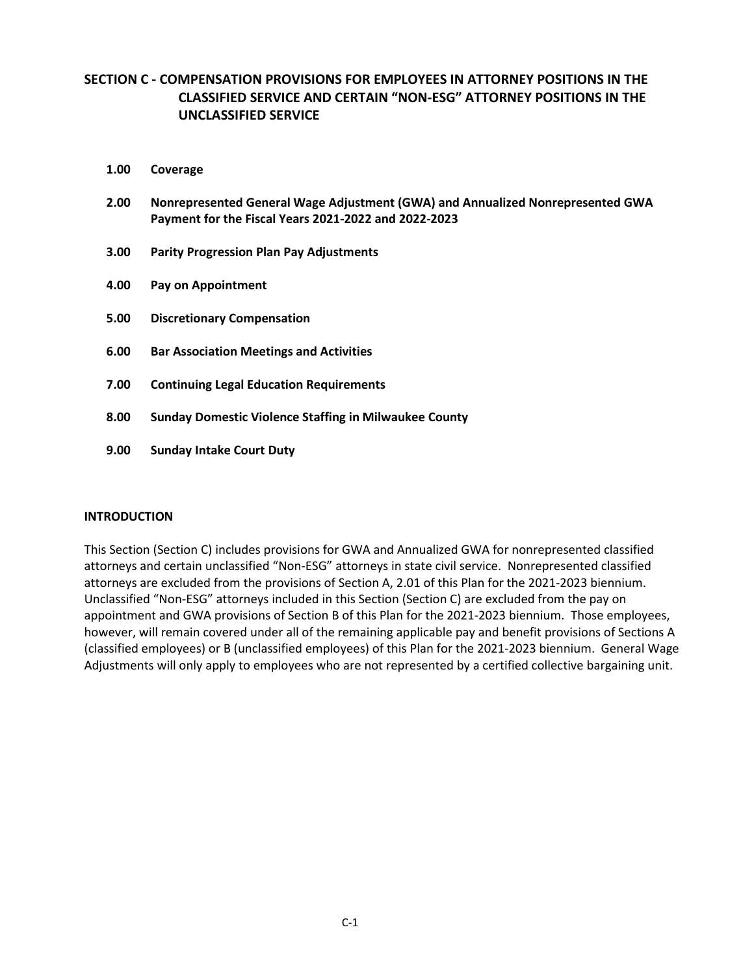# **SECTION C - COMPENSATION PROVISIONS FOR EMPLOYEES IN ATTORNEY POSITIONS IN THE CLASSIFIED SERVICE AND CERTAIN "NON-ESG" ATTORNEY POSITIONS IN THE UNCLASSIFIED SERVICE**

- **1.00 Coverage**
- **2.00 Nonrepresented General Wage Adjustment (GWA) and Annualized Nonrepresented GWA Payment for the Fiscal Years 2021-2022 and 2022-2023**
- **3.00 Parity Progression Plan Pay Adjustments**
- **4.00 Pay on Appointment**
- **5.00 Discretionary Compensation**
- **6.00 Bar Association Meetings and Activities**
- **7.00 Continuing Legal Education Requirements**
- **8.00 Sunday Domestic Violence Staffing in Milwaukee County**
- **9.00 Sunday Intake Court Duty**

#### **INTRODUCTION**

This Section (Section C) includes provisions for GWA and Annualized GWA for nonrepresented classified attorneys and certain unclassified "Non-ESG" attorneys in state civil service. Nonrepresented classified attorneys are excluded from the provisions of Section A, 2.01 of this Plan for the 2021-2023 biennium. Unclassified "Non-ESG" attorneys included in this Section (Section C) are excluded from the pay on appointment and GWA provisions of Section B of this Plan for the 2021-2023 biennium. Those employees, however, will remain covered under all of the remaining applicable pay and benefit provisions of Sections A (classified employees) or B (unclassified employees) of this Plan for the 2021-2023 biennium. General Wage Adjustments will only apply to employees who are not represented by a certified collective bargaining unit.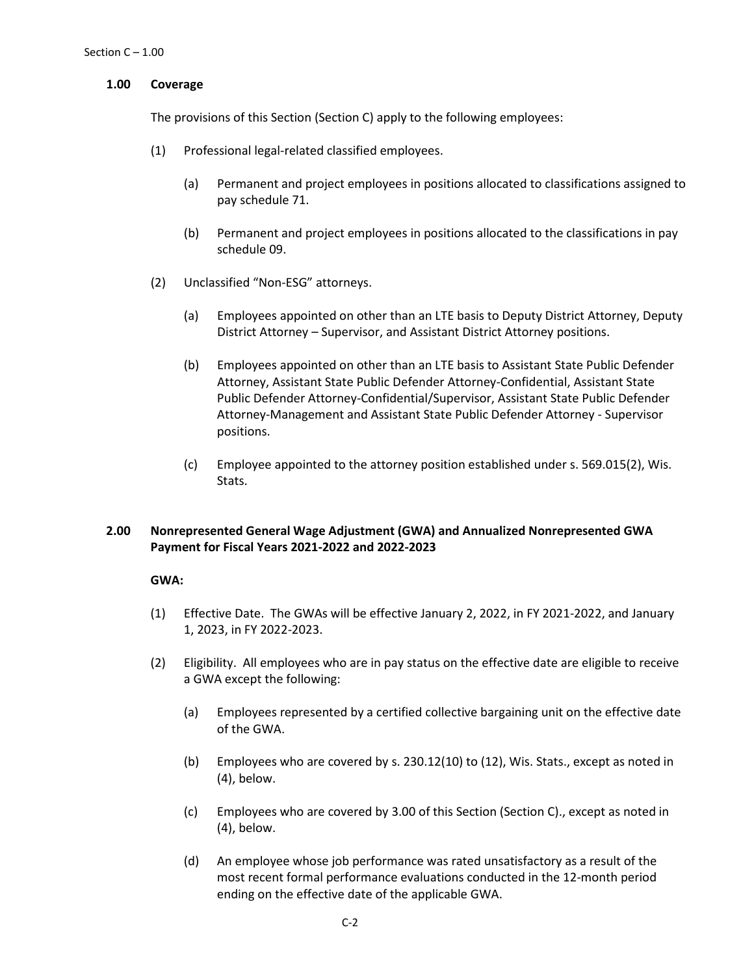# **1.00 Coverage**

The provisions of this Section (Section C) apply to the following employees:

- (1) Professional legal-related classified employees.
	- (a) Permanent and project employees in positions allocated to classifications assigned to pay schedule 71.
	- (b) Permanent and project employees in positions allocated to the classifications in pay schedule 09.
- (2) Unclassified "Non-ESG" attorneys.
	- (a) Employees appointed on other than an LTE basis to Deputy District Attorney, Deputy District Attorney – Supervisor, and Assistant District Attorney positions.
	- (b) Employees appointed on other than an LTE basis to Assistant State Public Defender Attorney, Assistant State Public Defender Attorney-Confidential, Assistant State Public Defender Attorney-Confidential/Supervisor, Assistant State Public Defender Attorney-Management and Assistant State Public Defender Attorney - Supervisor positions.
	- (c) Employee appointed to the attorney position established under s. 569.015(2), Wis. Stats.

# **2.00 Nonrepresented General Wage Adjustment (GWA) and Annualized Nonrepresented GWA Payment for Fiscal Years 2021-2022 and 2022-2023**

#### **GWA:**

- (1) Effective Date. The GWAs will be effective January 2, 2022, in FY 2021-2022, and January 1, 2023, in FY 2022-2023.
- (2) Eligibility. All employees who are in pay status on the effective date are eligible to receive a GWA except the following:
	- (a) Employees represented by a certified collective bargaining unit on the effective date of the GWA.
	- (b) Employees who are covered by s. 230.12(10) to (12), Wis. Stats., except as noted in (4), below.
	- (c) Employees who are covered by 3.00 of this Section (Section C)., except as noted in (4), below.
	- (d) An employee whose job performance was rated unsatisfactory as a result of the most recent formal performance evaluations conducted in the 12-month period ending on the effective date of the applicable GWA.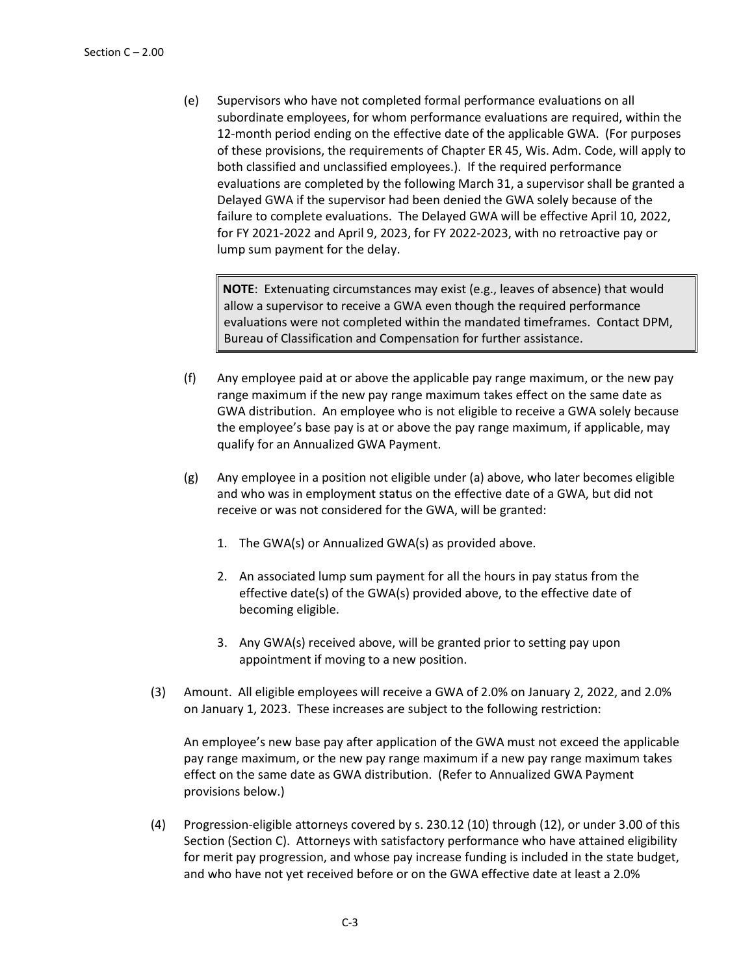(e) Supervisors who have not completed formal performance evaluations on all subordinate employees, for whom performance evaluations are required, within the 12-month period ending on the effective date of the applicable GWA. (For purposes of these provisions, the requirements of Chapter ER 45, Wis. Adm. Code, will apply to both classified and unclassified employees.). If the required performance evaluations are completed by the following March 31, a supervisor shall be granted a Delayed GWA if the supervisor had been denied the GWA solely because of the failure to complete evaluations. The Delayed GWA will be effective April 10, 2022, for FY 2021-2022 and April 9, 2023, for FY 2022-2023, with no retroactive pay or lump sum payment for the delay.

**NOTE**: Extenuating circumstances may exist (e.g., leaves of absence) that would allow a supervisor to receive a GWA even though the required performance evaluations were not completed within the mandated timeframes. Contact DPM, Bureau of Classification and Compensation for further assistance.

- (f) Any employee paid at or above the applicable pay range maximum, or the new pay range maximum if the new pay range maximum takes effect on the same date as GWA distribution. An employee who is not eligible to receive a GWA solely because the employee's base pay is at or above the pay range maximum, if applicable, may qualify for an Annualized GWA Payment.
- (g) Any employee in a position not eligible under (a) above, who later becomes eligible and who was in employment status on the effective date of a GWA, but did not receive or was not considered for the GWA, will be granted:
	- 1. The GWA(s) or Annualized GWA(s) as provided above.
	- 2. An associated lump sum payment for all the hours in pay status from the effective date(s) of the GWA(s) provided above, to the effective date of becoming eligible.
	- 3. Any GWA(s) received above, will be granted prior to setting pay upon appointment if moving to a new position.
- (3) Amount. All eligible employees will receive a GWA of 2.0% on January 2, 2022, and 2.0% on January 1, 2023. These increases are subject to the following restriction:

An employee's new base pay after application of the GWA must not exceed the applicable pay range maximum, or the new pay range maximum if a new pay range maximum takes effect on the same date as GWA distribution. (Refer to Annualized GWA Payment provisions below.)

(4) Progression-eligible attorneys covered by s. 230.12 (10) through (12), or under 3.00 of this Section (Section C). Attorneys with satisfactory performance who have attained eligibility for merit pay progression, and whose pay increase funding is included in the state budget, and who have not yet received before or on the GWA effective date at least a 2.0%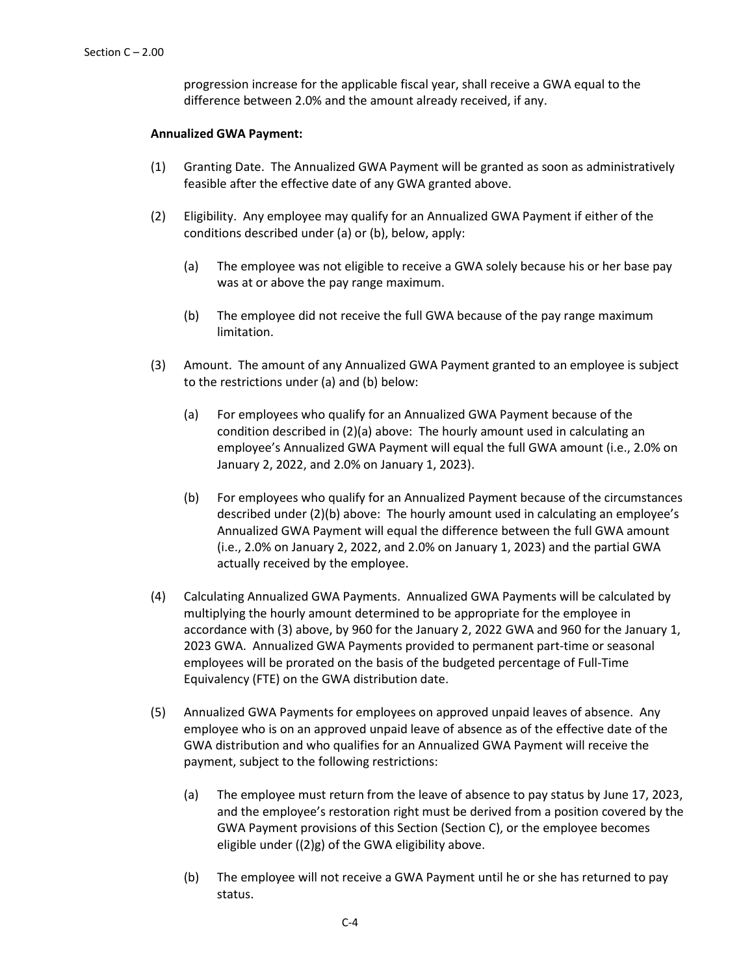progression increase for the applicable fiscal year, shall receive a GWA equal to the difference between 2.0% and the amount already received, if any.

### **Annualized GWA Payment:**

- (1) Granting Date. The Annualized GWA Payment will be granted as soon as administratively feasible after the effective date of any GWA granted above.
- (2) Eligibility. Any employee may qualify for an Annualized GWA Payment if either of the conditions described under (a) or (b), below, apply:
	- (a) The employee was not eligible to receive a GWA solely because his or her base pay was at or above the pay range maximum.
	- (b) The employee did not receive the full GWA because of the pay range maximum limitation.
- (3) Amount. The amount of any Annualized GWA Payment granted to an employee is subject to the restrictions under (a) and (b) below:
	- (a) For employees who qualify for an Annualized GWA Payment because of the condition described in (2)(a) above: The hourly amount used in calculating an employee's Annualized GWA Payment will equal the full GWA amount (i.e., 2.0% on January 2, 2022, and 2.0% on January 1, 2023).
	- (b) For employees who qualify for an Annualized Payment because of the circumstances described under (2)(b) above: The hourly amount used in calculating an employee's Annualized GWA Payment will equal the difference between the full GWA amount (i.e., 2.0% on January 2, 2022, and 2.0% on January 1, 2023) and the partial GWA actually received by the employee.
- (4) Calculating Annualized GWA Payments. Annualized GWA Payments will be calculated by multiplying the hourly amount determined to be appropriate for the employee in accordance with (3) above, by 960 for the January 2, 2022 GWA and 960 for the January 1, 2023 GWA. Annualized GWA Payments provided to permanent part-time or seasonal employees will be prorated on the basis of the budgeted percentage of Full-Time Equivalency (FTE) on the GWA distribution date.
- (5) Annualized GWA Payments for employees on approved unpaid leaves of absence. Any employee who is on an approved unpaid leave of absence as of the effective date of the GWA distribution and who qualifies for an Annualized GWA Payment will receive the payment, subject to the following restrictions:
	- (a) The employee must return from the leave of absence to pay status by June 17, 2023, and the employee's restoration right must be derived from a position covered by the GWA Payment provisions of this Section (Section C), or the employee becomes eligible under ((2)g) of the GWA eligibility above.
	- (b) The employee will not receive a GWA Payment until he or she has returned to pay status.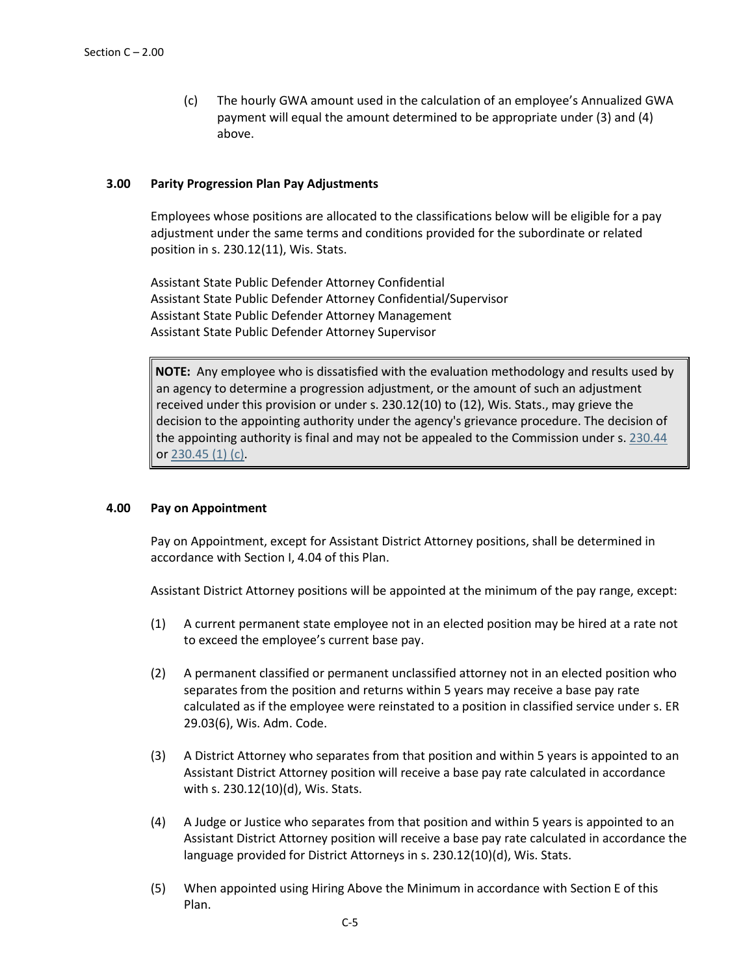(c) The hourly GWA amount used in the calculation of an employee's Annualized GWA payment will equal the amount determined to be appropriate under (3) and (4) above.

### **3.00 Parity Progression Plan Pay Adjustments**

Employees whose positions are allocated to the classifications below will be eligible for a pay adjustment under the same terms and conditions provided for the subordinate or related position in s. 230.12(11), Wis. Stats.

Assistant State Public Defender Attorney Confidential Assistant State Public Defender Attorney Confidential/Supervisor Assistant State Public Defender Attorney Management Assistant State Public Defender Attorney Supervisor

**NOTE:** Any employee who is dissatisfied with the evaluation methodology and results used by an agency to determine a progression adjustment, or the amount of such an adjustment received under this provision or under s. 230.12(10) to (12), Wis. Stats., may grieve the decision to the appointing authority under the agency's grievance procedure. The decision of the appointing authority is final and may not be appealed to the Commission under s. [230.44](https://docs.legis.wisconsin.gov/document/statutes/230.44) or [230.45 \(1\) \(c\).](https://docs.legis.wisconsin.gov/document/statutes/230.45(1)(c))

#### **4.00 Pay on Appointment**

Pay on Appointment, except for Assistant District Attorney positions, shall be determined in accordance with Section I, 4.04 of this Plan.

Assistant District Attorney positions will be appointed at the minimum of the pay range, except:

- (1) A current permanent state employee not in an elected position may be hired at a rate not to exceed the employee's current base pay.
- (2) A permanent classified or permanent unclassified attorney not in an elected position who separates from the position and returns within 5 years may receive a base pay rate calculated as if the employee were reinstated to a position in classified service under s. ER 29.03(6), Wis. Adm. Code.
- (3) A District Attorney who separates from that position and within 5 years is appointed to an Assistant District Attorney position will receive a base pay rate calculated in accordance with s. 230.12(10)(d), Wis. Stats.
- (4) A Judge or Justice who separates from that position and within 5 years is appointed to an Assistant District Attorney position will receive a base pay rate calculated in accordance the language provided for District Attorneys in s. 230.12(10)(d), Wis. Stats.
- (5) When appointed using Hiring Above the Minimum in accordance with Section E of this Plan.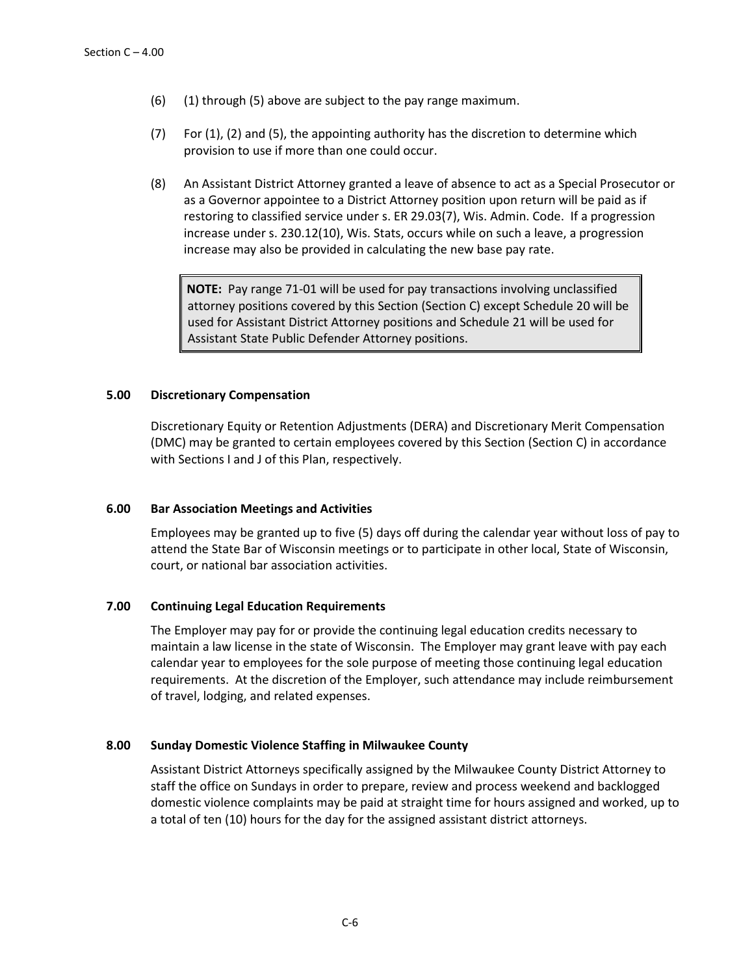- (6) (1) through (5) above are subject to the pay range maximum.
- (7) For (1), (2) and (5), the appointing authority has the discretion to determine which provision to use if more than one could occur.
- (8) An Assistant District Attorney granted a leave of absence to act as a Special Prosecutor or as a Governor appointee to a District Attorney position upon return will be paid as if restoring to classified service under s. ER 29.03(7), Wis. Admin. Code. If a progression increase under s. 230.12(10), Wis. Stats, occurs while on such a leave, a progression increase may also be provided in calculating the new base pay rate.

**NOTE:** Pay range 71-01 will be used for pay transactions involving unclassified attorney positions covered by this Section (Section C) except Schedule 20 will be used for Assistant District Attorney positions and Schedule 21 will be used for Assistant State Public Defender Attorney positions.

# **5.00 Discretionary Compensation**

Discretionary Equity or Retention Adjustments (DERA) and Discretionary Merit Compensation (DMC) may be granted to certain employees covered by this Section (Section C) in accordance with Sections I and J of this Plan, respectively.

#### **6.00 Bar Association Meetings and Activities**

Employees may be granted up to five (5) days off during the calendar year without loss of pay to attend the State Bar of Wisconsin meetings or to participate in other local, State of Wisconsin, court, or national bar association activities.

#### **7.00 Continuing Legal Education Requirements**

The Employer may pay for or provide the continuing legal education credits necessary to maintain a law license in the state of Wisconsin. The Employer may grant leave with pay each calendar year to employees for the sole purpose of meeting those continuing legal education requirements. At the discretion of the Employer, such attendance may include reimbursement of travel, lodging, and related expenses.

#### **8.00 Sunday Domestic Violence Staffing in Milwaukee County**

Assistant District Attorneys specifically assigned by the Milwaukee County District Attorney to staff the office on Sundays in order to prepare, review and process weekend and backlogged domestic violence complaints may be paid at straight time for hours assigned and worked, up to a total of ten (10) hours for the day for the assigned assistant district attorneys.